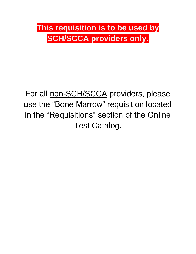## **This requisition is to be used by SCH/SCCA providers only.**

## For all non-SCH/SCCA providers, please use the "Bone Marrow" requisition located in the "Requisitions" section of the Online Test Catalog.